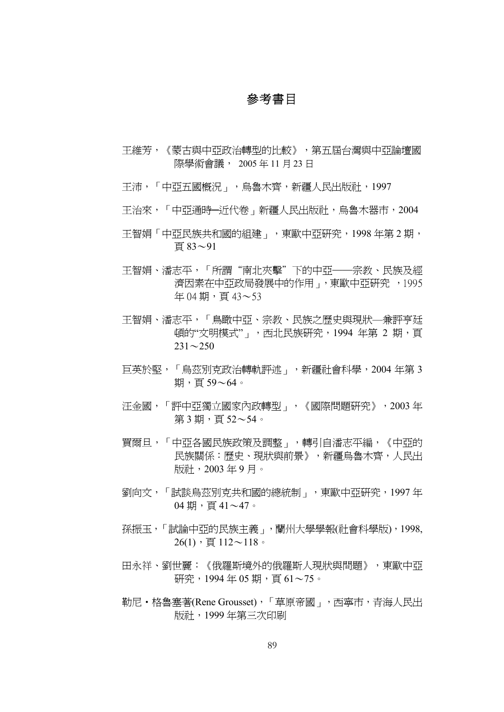## 參考書目

- 王維芳,《蒙古與中亞政治轉型的比較》,第五屆台灣與中亞論壇國 際學術會議, 2005 年 11 月 23 日
- 王沛,「中亞五國概況」,烏魯木齊,新疆人民出版社,1997
- 王治來,「中亞通時一近代卷」新疆人民出版社,鳥魯木器市,2004
- 王智娟「中亞民族共和國的組建」,東歐中亞研究,1998 年第 2 期, 頁 83~91
- 王智娟、潘志平,「所謂"南北夾擊"下的中亞──宗教、民族及經 濟因素在中亞政局發展中的作用」,東歐中亞研究 , 1995 年 04 期, 頁 43~53
- 王智娟、潘志平,「鳥瞰中亞、宗教、民族之歷史與現狀—兼評亨廷 頓的"文明模式"」,西北民族研究,1994 年第 2 期,頁  $231 \sim 250$
- 巨英於堅,「烏茲別克政治轉軌評述」,新疆社會科學,2004 年第 3 期,頁59~64。
- 汪金國,「評中亞獨立國家內政轉型」,《國際問題研究》,2003 年 第 3 期, 頁 52 $\sim$ 54。
- 買爾旦,「中亞各國民族政策及調整」,轉引自潘志平編,《中亞的 民族關係:歷史、現狀與前景》,新疆鳥魯木齊,人民出 版社,2003 年 9 月。
- 劉向文,「試談烏茲別克共和國的總統制」,東歐中亞研究,1997 年  $04$  期, 百 $41$ ~47。
- 孫振玉,「試論中亞的民族主義」,蘭州大學學報(社會科學版),1998,  $26(1)$ , 百 $112~118$ 。
- 田永祥、劉世麗:《俄羅斯境外的俄羅斯人現狀與問題》,東歐中亞 研究, 1994年05期, 百61~75。
- 勒尼·格魯塞著(Rene Grousset),「草原帝國」,西寧市,青海人民出 版社,1999 年第三次印刷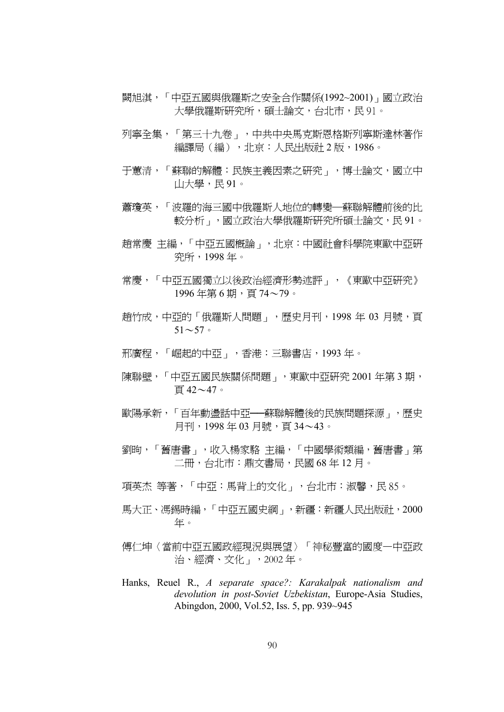- 闕旭淇,「中亞五國與俄羅斯之安全合作關係(1992~2001)」國立政治 大學俄羅斯研究所,碩士論文,台北市,民 91。
- 列寧全集,「第三十九卷」,中共中央馬克斯恩格斯列寧斯達林著作 編譯局(編), 北京:人民出版社 2 版,1986。
- 于蕙清,「蘇聯的解體:民族主義因素之研究」,博士論文,國立中 山大學,民 91。
- 蕭瓊英,「波羅的海三國中俄羅斯人地位的轉變—蘇聯解體前後的比 較分析」,國立政治大學俄羅斯研究所碩士論文,民 91。
- 趙常慶 主編,「中亞五國槪論」,北京:中國社會科學院東歐中亞研 究所,1998 年。
- 常慶,「中亞五國獨立以後政治經濟形勢述評」,《東歐中亞研究》 1996 年第 6 期,頁 74~79。
- 趙竹成,中亞的「俄羅斯人問題」,歷史月刊,1998年 03月號,頁  $51~57$
- 邢廣程,「崛起的中亞」,香港:三聯書店,1993 年。
- 陳聯壁,「中亞五國民族關係問題」,東歐中亞研究 2001 年第 3 期, 頁 42~47。
- 歐陽承新,「百年動盪話中亞——蘇聯解體後的民族問題探源」,歷史 月刊, 1998年03月號, 百34~43。
- 劉昫,「舊唐書」,收入楊家駱 主編,「中國學術類編,舊唐書」第 二冊,台北市:鼎文書局,民國 68 年 12 月。
- 項英杰 等著,「中亞:馬背上的文化」, 台北市:淑馨,民 85。
- 馬大正、馮錫時編,「中亞五國史綱」,新疆:新疆人民出版社,2000 年。
- 傅仁坤〈當前中亞五國政經現況與展望〉「神秘豐富的國度—中亞政 治、經濟、文化」,2002 年。
- Hanks, Reuel R., *A separate space?: Karakalpak nationalism and devolution in post-Soviet Uzbekistan*, Europe-Asia Studies, Abingdon, 2000, Vol.52, Iss. 5, pp. 939~945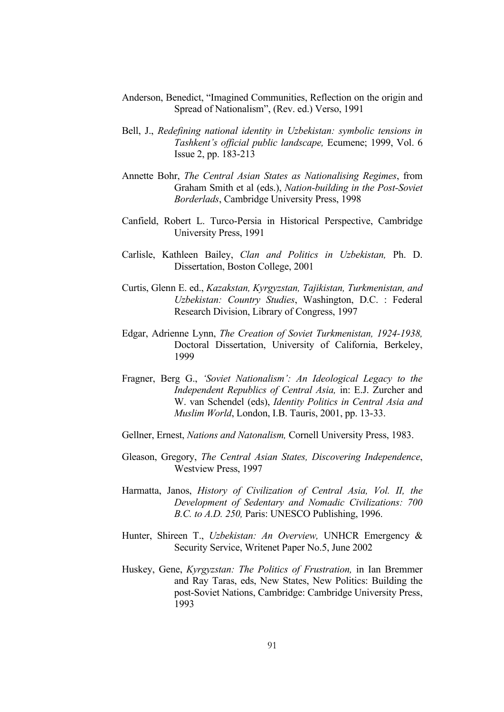- Anderson, Benedict, "Imagined Communities, Reflection on the origin and Spread of Nationalism", (Rev. ed.) Verso, 1991
- Bell, J., *Redefining national identity in Uzbekistan: symbolic tensions in Tashkent's official public landscape,* Ecumene; 1999, Vol. 6 Issue 2, pp. 183-213
- Annette Bohr, *The Central Asian States as Nationalising Regimes*, from Graham Smith et al (eds.), *Nation-building in the Post-Soviet Borderlads*, Cambridge University Press, 1998
- Canfield, Robert L. Turco-Persia in Historical Perspective, Cambridge University Press, 1991
- Carlisle, Kathleen Bailey, *Clan and Politics in Uzbekistan,* Ph. D. Dissertation, Boston College, 2001
- Curtis, Glenn E. ed., *Kazakstan, Kyrgyzstan, Tajikistan, Turkmenistan, and Uzbekistan: Country Studies*, Washington, D.C. : Federal Research Division, Library of Congress, 1997
- Edgar, Adrienne Lynn, *The Creation of Soviet Turkmenistan, 1924-1938,*  Doctoral Dissertation, University of California, Berkeley, 1999
- Fragner, Berg G., *'Soviet Nationalism': An Ideological Legacy to the Independent Republics of Central Asia,* in: E.J. Zurcher and W. van Schendel (eds), *Identity Politics in Central Asia and Muslim World*, London, I.B. Tauris, 2001, pp. 13-33.
- Gellner, Ernest, *Nations and Natonalism,* Cornell University Press, 1983.
- Gleason, Gregory, *The Central Asian States, Discovering Independence*, Westview Press, 1997
- Harmatta, Janos, *History of Civilization of Central Asia, Vol. II, the Development of Sedentary and Nomadic Civilizations: 700 B.C. to A.D. 250,* Paris: UNESCO Publishing, 1996.
- Hunter, Shireen T., *Uzbekistan: An Overview,* UNHCR Emergency & Security Service, Writenet Paper No.5, June 2002
- Huskey, Gene, *Kyrgyzstan: The Politics of Frustration,* in Ian Bremmer and Ray Taras, eds, New States, New Politics: Building the post-Soviet Nations, Cambridge: Cambridge University Press, 1993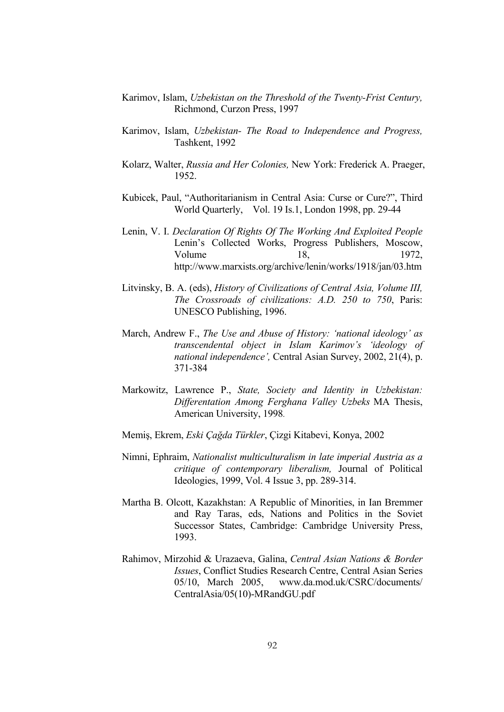- Karimov, Islam, *Uzbekistan on the Threshold of the Twenty-Frist Century,* Richmond, Curzon Press, 1997
- Karimov, Islam, *Uzbekistan- The Road to Independence and Progress,* Tashkent, 1992
- Kolarz, Walter, *Russia and Her Colonies,* New York: Frederick A. Praeger, 1952.
- Kubicek, Paul, "Authoritarianism in Central Asia: Curse or Cure?", Third World Quarterly, Vol. 19 Is.1, London 1998, pp. 29-44
- Lenin, V. I. *Declaration Of Rights Of The Working And Exploited People*  Lenin's Collected Works, Progress Publishers, Moscow, Volume 18, 1972, http://www.marxists.org/archive/lenin/works/1918/jan/03.htm
- Litvinsky, B. A. (eds), *History of Civilizations of Central Asia, Volume III, The Crossroads of civilizations: A.D. 250 to 750*, Paris: UNESCO Publishing, 1996.
- March, Andrew F., *The Use and Abuse of History: 'national ideology' as transcendental object in Islam Karimov's 'ideology of national independence',* Central Asian Survey, 2002, 21(4), p. 371-384
- Markowitz, Lawrence P., *State, Society and Identity in Uzbekistan: Differentation Among Ferghana Valley Uzbeks* MA Thesis, American University, 1998.
- Memiş, Ekrem, *Eski Çağda Türkler*, Çizgi Kitabevi, Konya, 2002
- Nimni, Ephraim, *Nationalist multiculturalism in late imperial Austria as a critique of contemporary liberalism,* Journal of Political Ideologies, 1999, Vol. 4 Issue 3, pp. 289-314.
- Martha B. Olcott, Kazakhstan: A Republic of Minorities, in Ian Bremmer and Ray Taras, eds, Nations and Politics in the Soviet Successor States, Cambridge: Cambridge University Press, 1993.
- Rahimov, Mirzohid & Urazaeva, Galina, *Central Asian Nations & Border Issues*, Conflict Studies Research Centre, Central Asian Series 05/10, March 2005, www.da.mod.uk/CSRC/documents/ CentralAsia/05(10)-MRandGU.pdf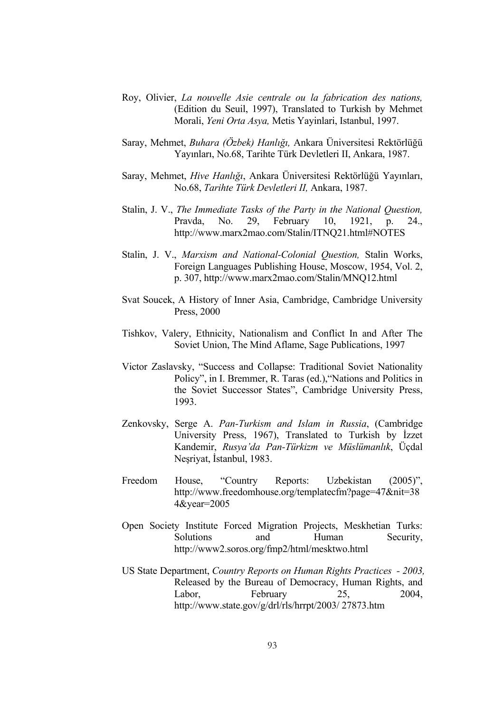- Roy, Olivier, *La nouvelle Asie centrale ou la fabrication des nations,* (Edition du Seuil, 1997), Translated to Turkish by Mehmet Morali, *Yeni Orta Asya,* Metis Yayinlari, Istanbul, 1997.
- Saray, Mehmet, *Buhara (Özbek) Hanlığı,* Ankara Üniversitesi Rektörlüğü Yayınları, No.68, Tarihte Türk Devletleri II, Ankara, 1987.
- Saray, Mehmet, *Hive Hanlığı*, Ankara Üniversitesi Rektörlüğü Yayınları, No.68, *Tarihte Türk Devletleri II,* Ankara, 1987.
- Stalin, J. V., *The Immediate Tasks of the Party in the National Question,*  Pravda, No. 29, February 10, 1921, p. 24., http://www.marx2mao.com/Stalin/ITNQ21.html#NOTES
- Stalin, J. V., *Marxism and National-Colonial Question,* Stalin Works, Foreign Languages Publishing House, Moscow, 1954, Vol. 2, p. 307, http://www.marx2mao.com/Stalin/MNQ12.html
- Svat Soucek, A History of Inner Asia, Cambridge, Cambridge University Press, 2000
- Tishkov, Valery, Ethnicity, Nationalism and Conflict In and After The Soviet Union, The Mind Aflame, Sage Publications, 1997
- Victor Zaslavsky, "Success and Collapse: Traditional Soviet Nationality Policy", in I. Bremmer, R. Taras (ed.),"Nations and Politics in the Soviet Successor States", Cambridge University Press, 1993.
- Zenkovsky, Serge A. *Pan-Turkism and Islam in Russia*, (Cambridge University Press, 1967), Translated to Turkish by İzzet Kandemir, *Rusya'da Pan-Türkizm ve Müslümanlık*, Üçdal Neşriyat, İstanbul, 1983.
- Freedom House, "Country Reports: Uzbekistan (2005)", http://www.freedomhouse.org/templatecfm?page=47&nit=38 4&year=2005
- Open Society Institute Forced Migration Projects, Meskhetian Turks: Solutions and Human Security, http://www2.soros.org/fmp2/html/mesktwo.html
- US State Department, *Country Reports on Human Rights Practices 2003,* Released by the Bureau of Democracy, Human Rights, and Labor, February 25, 2004, http://www.state.gov/g/drl/rls/hrrpt/2003/ 27873.htm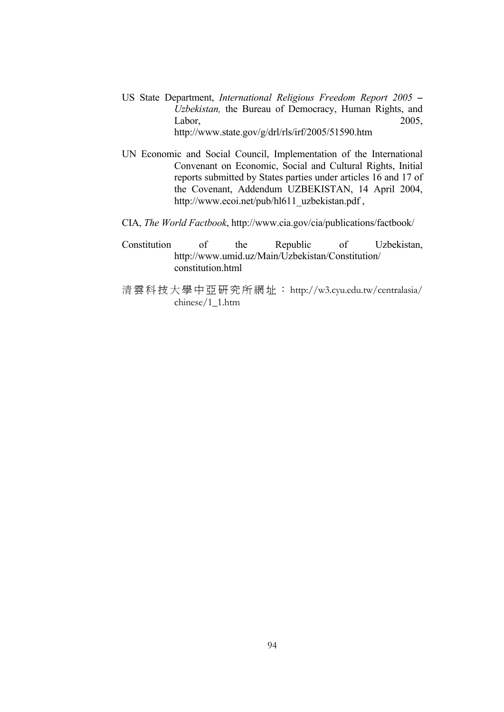- US State Department, *International Religious Freedom Report 2005 Uzbekistan,* the Bureau of Democracy, Human Rights, and Labor, 2005, http://www.state.gov/g/drl/rls/irf/2005/51590.htm
- UN Economic and Social Council, Implementation of the International Convenant on Economic, Social and Cultural Rights, Initial reports submitted by States parties under articles 16 and 17 of the Covenant, Addendum UZBEKISTAN, 14 April 2004, http://www.ecoi.net/pub/hl611\_uzbekistan.pdf,
- CIA, *The World Factbook*, http://www.cia.gov/cia/publications/factbook/
- Constitution of the Republic of Uzbekistan, http://www.umid.uz/Main/Uzbekistan/Constitution/ constitution.html
- 清雲科技大學中亞研究所網址: http://w3.cyu.edu.tw/centralasia/ chinese/1\_1.htm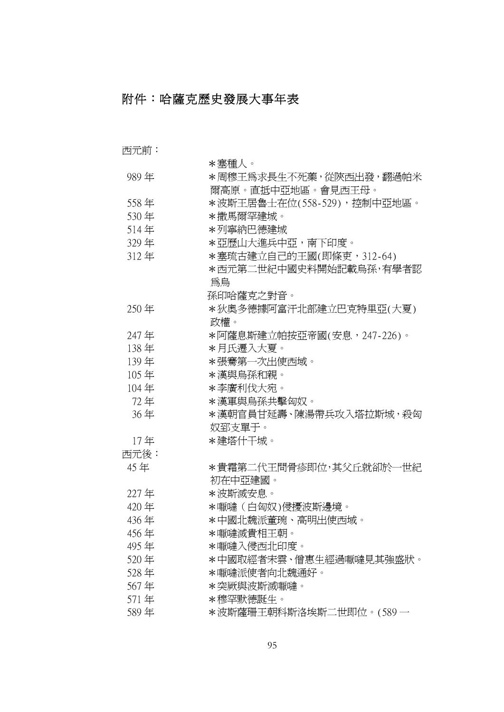## 附件:哈薩克歷史發展大事年表

## 西元前:

|       | *塞種人。                      |
|-------|----------------------------|
| 989年  | *周穆王爲求長生不死藥,從陝西出發,翻過帕米     |
|       | 爾高原。直抵中亞地區。會見西王母。          |
| 558年  | *波斯王居魯士在位(558-529),控制中亞地區。 |
| 530年  | *撒馬爾罕建城。                   |
| 514年  | *列寧納巴德建城                   |
| 329年  | *亞歷山大進兵中亞,南下印度。            |
| 312年  | *塞琉古建立自己的王國(即條吏,312-64)    |
|       | *西元第二世紀中國史料開始記載鳥孫,有學者認     |
|       | 爲鳥                         |
|       | 孫印哈薩克之對音。                  |
| 250年  | *狄奧多德據阿富汗北部建立巴克特里亞(大夏)     |
|       | 政權。                        |
| 247年  | *阿薩息斯建立帕按亞帝國(安息,247-226)。  |
| 138年  | *月氏遷入大夏。                   |
| 139年  | *張騫第一次出使西域。                |
| 105年  | *漢與鳥孫和親。                   |
| 104年  | *李廣利伐大宛。                   |
| 72年   | *漢軍與鳥孫共擊匈奴。                |
| 36年   | *漢朝官員甘延壽、陳湯帶兵攻入塔拉斯城, 殺匈    |
|       | 奴郅支單于。                     |
| 17年   | *建塔什干城。                    |
| 西元後:  |                            |
| 45年   | *貴霜第二代王問骨疹即位,其父丘就卻於一世紀     |
|       | 初在中亞建國。                    |
| 227年  | *波斯滅安息。                    |
| 420年  | *嚈噠 (白匈奴)侵擾波斯邊境。           |
| 436年  | *中國北魏派董琬、高明出使西域。           |
| 456年  | *嚈噠滅貴相王朝。                  |
| 495 年 | *嚈噠入侵西北印度。                 |
| 520年  | *中國取經者宋雲、僧惠生經過嚈噠見其強盛狀。     |
| 528年  | *嚈噠派使者向北魏通好。               |
| 567年  | *突厥與波斯滅嚈噠。                 |
| 571年  | *穆罕默德誕生。                   |
| 589年  | *波斯薩珊王朝科斯洛埃斯二世即位。(589 一    |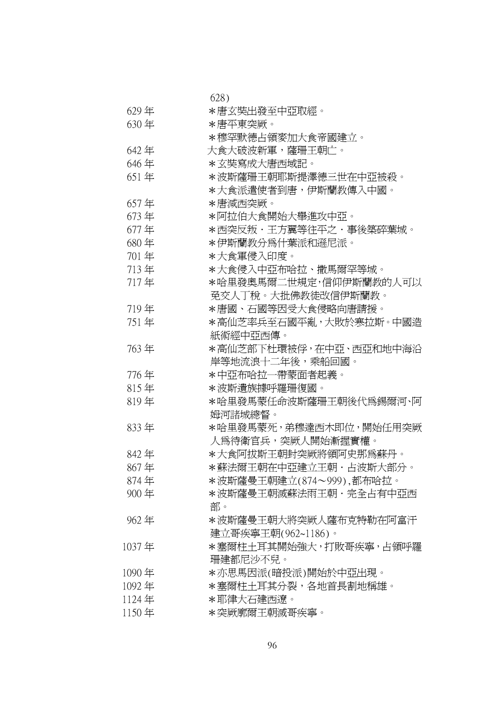|       | 628)                                         |
|-------|----------------------------------------------|
| 629年  | *唐玄奘出發至中亞取經。                                 |
| 630年  | *唐平東突厥。                                      |
|       | *穆罕默德占領麥加大食帝國建立。                             |
| 642 年 | 大食大破波新軍,薩珊王朝亡。                               |
| 646年  | *玄奘寫成大唐西域記。                                  |
| 651年  | *波斯薩珊王朝耶斯提澤德三世在中亞被殺。                         |
|       | *大食派遣使者到唐,伊斯蘭教傳入中國。                          |
| 657年  | *唐減西突厥。                                      |
| 673年  | *阿拉伯大食開始大舉進攻中亞。                              |
| 677年  | *西突反叛・王方翼等往平之・事後築碎葉城。                        |
| 680年  | *伊斯蘭教分爲什葉派和遜尼派。                              |
| 701年  | *大食軍侵入印度。                                    |
| 713年  | *大食侵入中亞布哈拉、撒馬爾罕等城。                           |
| 717年  | *哈里發奧馬爾二世規定,信仰伊斯蘭教的人可以                       |
|       | 冤交人丁稅。大批佛教徒改信伊斯蘭教。                           |
| 719年  | *唐國、石國等因受大食侵略向唐請援。                           |
| 751年  | *高仙芝率兵至石國平亂,大敗於寒拉斯。中國造                       |
|       | 紙術經中亞西傳。                                     |
| 763年  | *高仙芝部下杜環被俘,在中亞、西亞和地中海沿                       |
|       | 岸等地流浪十二年後,乘船回國。                              |
| 776年  | *中亞布哈拉一帶蒙面者起義。                               |
| 815年  | *波斯遺族據呼羅珊復國。                                 |
| 819年  | *哈里發馬蒙任命波斯薩珊王朝後代為錫爾河、阿                       |
|       | 姆河諸城總督。                                      |
| 833年  | *哈里發馬蒙死,弟穆達西木即位,開始任用突厥                       |
|       | 人爲待衛官兵,突厥人開始漸握實權。                            |
| 842 年 | *大食阿拔斯王朝封突厥將領阿史那爲蘇丹。                         |
| 867年  | *蘇法爾王朝在中亞建立王朝・占波斯大部分。                        |
| 874年  | *波斯薩曼王朝建立(874~999),都布哈拉。                     |
| 900年  | *波斯薩曼王朝滅蘇法雨王朝・完全占有中亞西                        |
|       | 部。                                           |
| 962年  | *波斯薩曼王朝大將突厥人薩布克特勒在阿富汗                        |
|       | 建立哥疾寧王朝(962~1186)。<br>*塞爾柱土耳其開始強大,打敗哥疾寧,占領呼羅 |
| 1037年 | 珊建都尼沙不兒。                                     |
| 1090年 | *亦思馬因派(暗投派)開始於中亞出現。                          |
| 1092年 | *塞爾柱土耳其分裂,各地首長割地稱雄。                          |
| 1124年 | *耶律大石建西遼。                                    |
| 1150年 | *突厥廓爾王朝滅哥疾寧。                                 |
|       |                                              |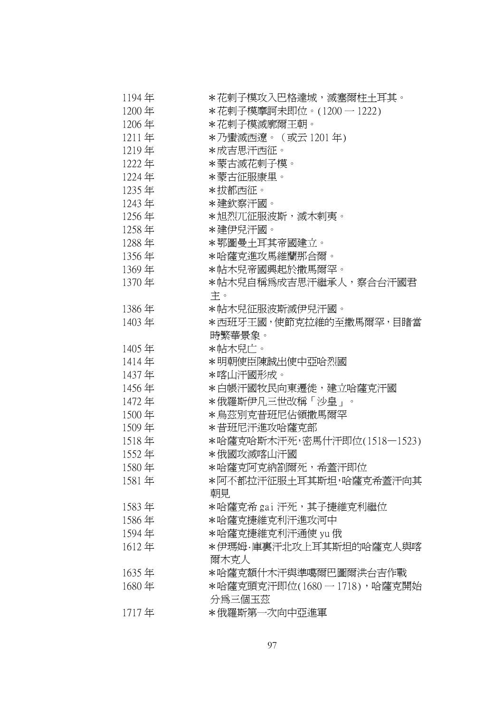| 1194年 | *花剌子模攻入巴格達城,滅塞爾柱土耳其。         |
|-------|------------------------------|
| 1200年 | *花剌子模摩訶未即位。(1200 一 1222)     |
| 1206年 | *花剌子模滅廓爾王朝。                  |
| 1211年 | *乃蠻滅西遼。(或云 1201 年)           |
| 1219年 | *成吉思汗西征。                     |
| 1222年 | *蒙古滅花剌子模。                    |
| 1224年 | *蒙古征服康里。                     |
| 1235年 | *拔都西征。                       |
| 1243年 | *建欽察汗國。                      |
| 1256年 | *旭烈兀征服波斯,滅木剌夷。               |
| 1258年 | *建伊兒汗國。                      |
| 1288年 | *鄂圖曼土耳其帝國建立。                 |
| 1356年 | *哈薩克進攻馬維蘭那合爾。                |
| 1369年 | *帖木兒帝國興起於撒馬爾罕。               |
| 1370年 | *帖木兒自稱爲成吉思汗繼承人,察合台汗國君        |
|       | 主。                           |
| 1386年 | *帖木兒征服波斯滅伊兒汗國。               |
| 1403年 | *西班牙王國,使節克拉維的至撒馬爾罕,目睹當       |
|       | 時繁華景象。                       |
| 1405年 | *帖木兒亡。                       |
| 1414年 | *明朝使臣陳誠出使中亞哈烈國               |
| 1437年 | *喀山汗國形成。                     |
| 1456年 | *白帳汗國牧民向東遷徙,建立哈薩克汗國          |
| 1472年 | *俄羅斯伊凡三世改稱「沙皇」。              |
| 1500年 | *鳥茲別克昔班尼佔領撒馬爾罕               |
| 1509年 | *昔班尼汗進攻哈薩克部                  |
| 1518年 | *哈薩克哈斯木汗死,密馬什汗即位(1518―1523)  |
| 1552年 | *俄國攻滅喀山汗國                    |
| 1580年 | *哈薩克阿克納劄爾死,希蓋汗即位             |
| 1581年 | *阿不都拉汗征服土耳其斯坦,哈薩克希蓋汗向其       |
|       | 朝見                           |
| 1583年 | *哈薩克希 gai 汗死,其子捷維克利繼位        |
| 1586年 | *哈薩克捷維克利汗進攻河中                |
| 1594年 | *哈薩克捷維克利汗通使 yu 俄             |
| 1612年 | *伊瑪姆・庫裏汗北攻上耳其斯坦的哈薩克人與喀       |
|       | 爾木克人                         |
| 1635年 | *哈薩克額什木汗與準噶爾巴圖爾洪台吉作戰         |
| 1680年 | *哈薩克頭克汗即位(1680 ― 1718),哈薩克開始 |
|       | 分爲三個玉茲                       |
| 1717年 | *俄羅斯第一次向中亞進軍                 |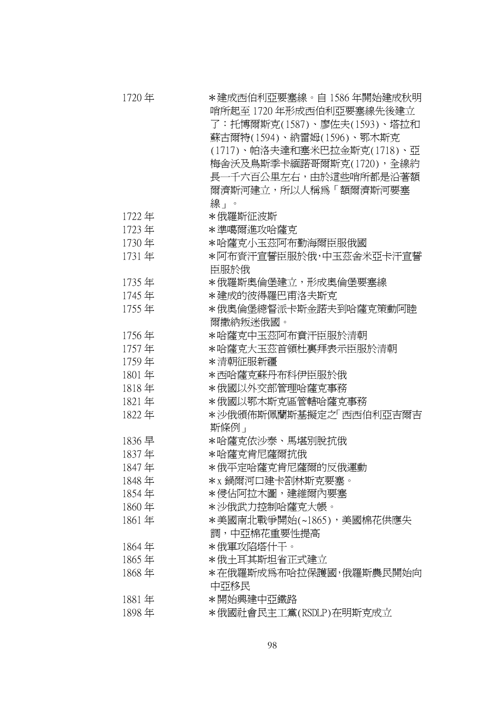| 1720年  | *建成西伯利亞要塞線。自 1586 年開始建成秋明   |
|--------|-----------------------------|
|        | 哨所起至1720年形成西伯利亞要塞線先後建立      |
|        | 了:托博爾斯克(1587)、廖佐夫(1593)、塔拉和 |
|        | 蘇古爾特(1594)、納雷姆(1596)、鄂木斯克   |
|        | (1717)、帕洛夫達和塞米巴拉金斯克(1718)、亞 |
|        | 梅舍沃及鳥斯季卡緬諾哥爾斯克(1720),全線約    |
|        | 長一千六百公里左右,由於這些哨所都是沿著額       |
|        | 爾濟斯河建立,所以人稱爲「額爾濟斯河要塞        |
|        | 線」。                         |
| 1722年  | *俄羅斯征波斯                     |
| 1723年  | *準噶爾進攻哈薩克                   |
| 1730年  | *哈薩克小玉茲阿布勤海爾臣服俄國            |
| 1731年  | *阿布賚汗宣誓臣服於俄,中玉茲舍米亞卡汗宣誓      |
|        | 臣服於俄                        |
| 1735年  | *俄羅斯奧倫堡建立,形成奧倫堡要塞線          |
| 1745年  | *建成的彼得羅巴甫洛夫斯克               |
| 1755年  | *俄奧倫堡總督派卡斯金諾夫到哈薩克策動阿睦       |
|        | 爾撒納叛迷俄國。                    |
| 1756年  | *哈薩克中玉茲阿布賁汗臣服於清朝            |
| 1757年  | *哈薩克大玉茲首領杜裏拜表示臣服於清朝         |
| 1759年  | *清朝征服新疆                     |
| 1801年  | *西哈薩克蘇丹布科伊臣服於俄              |
| 1818年  | *俄國以外交部管理哈薩克事務              |
| 1821年  | *俄國以鄂木斯克區管轄哈薩克事務            |
| 1822年  | *沙俄頒佈斯佩蘭斯基擬定之「西西伯利亞吉爾吉      |
|        | 斯條例」                        |
| 1836 早 | *哈薩克依沙泰、馬堪別脫抗俄              |
| 1837年  | *哈薩克肯尼薩爾抗俄                  |
| 1847年  | *俄平定哈薩克肯尼薩爾的反俄運動            |
| 1848年  | * x 鍋爾河口建卡劄林斯克要塞。           |
| 1854年  | *侵佔阿拉木圖,建維爾內要塞              |
| 1860年  | *沙俄武力控制哈薩克大帳。               |
| 1861年  | *美國南北戰爭開始(~1865),美國棉花供應失    |
|        | 調,中亞棉花重要性提高                 |
| 1864年  | *俄軍攻陷塔什干。                   |
| 1865年  | *俄土耳其斯坦省正式建立                |
| 1868年  | *在俄羅斯成爲布哈拉保護國,俄羅斯農民開始向      |
|        | 中亞移民                        |
| 1881年  | *開始興建中亞鐵路                   |
| 1898年  | *俄國社會民主工黨(RSDLP)在明斯克成立      |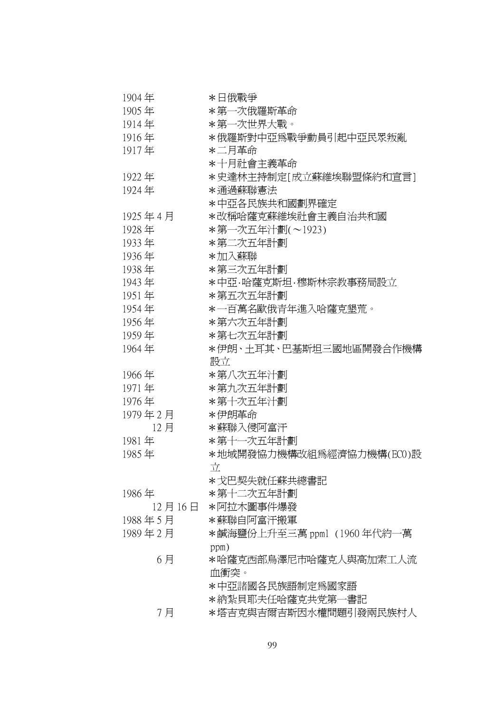| 1904年   | *日俄戰爭                       |
|---------|-----------------------------|
| 1905年   | *第一次俄羅斯革命                   |
| 1914年   | *第一次世界大戰。                   |
| 1916年   | *俄羅斯對中亞爲戰爭動員引起中亞民眾叛亂        |
| 1917年   | *二月革命                       |
|         | *十月社會主義革命                   |
| 1922年   | *史達林主持制定[成立蘇維埃聯盟條約和宣言]      |
| 1924年   | *通過蘇聯憲法                     |
|         | *中亞各民族共和國劃界確定               |
| 1925年4月 | *改稱哈薩克蘇維埃社會主義自治共和國          |
| 1928年   | *第一次五年汁劃(~1923)             |
| 1933年   | *第二次五年計劃                    |
| 1936年   | *加入蘇聯                       |
| 1938年   | *第三次五年計劃                    |
| 1943年   | *中亞・哈薩克斯坦・穆斯林宗教事務局設立        |
| 1951年   | *第五次五年計劃                    |
| 1954年   | *一百萬名歐俄青年進入哈薩克墾荒。           |
| 1956年   | *第六次五年計劃                    |
| 1959年   | *第七次五年計劃                    |
| 1964年   | *伊朗、土耳其、巴基斯坦三國地區開發合作機構      |
|         | 設立                          |
| 1966年   | *第八次五年汁劃                    |
| 1971年   | *第九次五年計劃                    |
| 1976年   | *第十次五年汁劃                    |
| 1979年2月 | *伊朗革命                       |
| 12月     | *蘇聯入侵阿富汗                    |
| 1981年   | *第十一次五年計劃                   |
| 1985年   | *地域開發協力機構改組爲經濟協力機構(ECO)設    |
|         | 立                           |
|         | *戈巴契失就任蘇共總書記                |
| 1986年   | *第十二次五年計劃                   |
| 12月16日  | *阿拉木圖事件爆發                   |
| 1988年5月 | *蘇聯自阿富汗搬軍                   |
| 1989年2月 | *鹹海鹽份上升至三萬 ppm1 (1960 年代約一萬 |
|         | ppm)                        |
| 6月      | *哈薩克西部烏澤尼市哈薩克人與高加索工人流       |
|         | 血衝突。                        |
|         | *中亞諸國各民族語制定爲國家語             |
|         | *納紮貝耶夫任哈薩克共党第一書記            |
| 7月      | *塔吉克與吉爾吉斯因水權問題引發兩民族村人       |